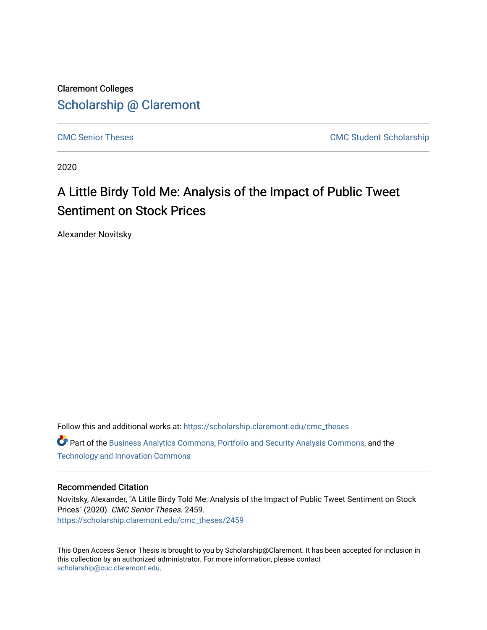Claremont Colleges [Scholarship @ Claremont](https://scholarship.claremont.edu/) 

[CMC Senior Theses](https://scholarship.claremont.edu/cmc_theses) CMC Student Scholarship

2020

# A Little Birdy Told Me: Analysis of the Impact of Public Tweet Sentiment on Stock Prices

Alexander Novitsky

Follow this and additional works at: [https://scholarship.claremont.edu/cmc\\_theses](https://scholarship.claremont.edu/cmc_theses?utm_source=scholarship.claremont.edu%2Fcmc_theses%2F2459&utm_medium=PDF&utm_campaign=PDFCoverPages)  **C** Part of the [Business Analytics Commons](http://network.bepress.com/hgg/discipline/1398?utm_source=scholarship.claremont.edu%2Fcmc_theses%2F2459&utm_medium=PDF&utm_campaign=PDFCoverPages), [Portfolio and Security Analysis Commons](http://network.bepress.com/hgg/discipline/640?utm_source=scholarship.claremont.edu%2Fcmc_theses%2F2459&utm_medium=PDF&utm_campaign=PDFCoverPages), and the [Technology and Innovation Commons](http://network.bepress.com/hgg/discipline/644?utm_source=scholarship.claremont.edu%2Fcmc_theses%2F2459&utm_medium=PDF&utm_campaign=PDFCoverPages) 

#### Recommended Citation

Novitsky, Alexander, "A Little Birdy Told Me: Analysis of the Impact of Public Tweet Sentiment on Stock Prices" (2020). CMC Senior Theses. 2459. [https://scholarship.claremont.edu/cmc\\_theses/2459](https://scholarship.claremont.edu/cmc_theses/2459?utm_source=scholarship.claremont.edu%2Fcmc_theses%2F2459&utm_medium=PDF&utm_campaign=PDFCoverPages) 

This Open Access Senior Thesis is brought to you by Scholarship@Claremont. It has been accepted for inclusion in this collection by an authorized administrator. For more information, please contact [scholarship@cuc.claremont.edu.](mailto:scholarship@cuc.claremont.edu)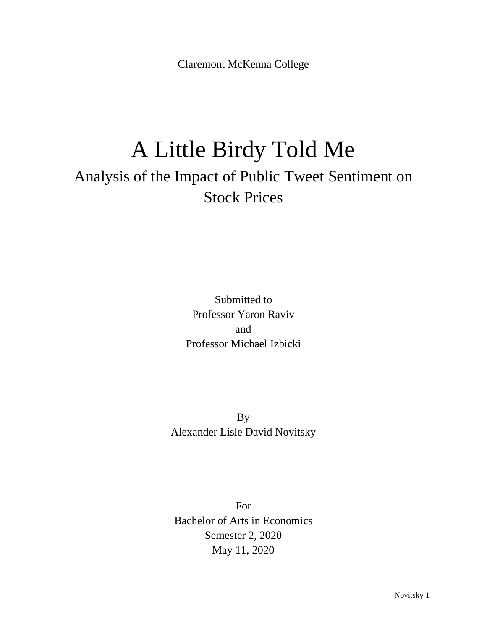Claremont McKenna College

# A Little Birdy Told Me Analysis of the Impact of Public Tweet Sentiment on Stock Prices

Submitted to Professor Yaron Raviv and Professor Michael Izbicki

By Alexander Lisle David Novitsky

For Bachelor of Arts in Economics Semester 2, 2020 May 11, 2020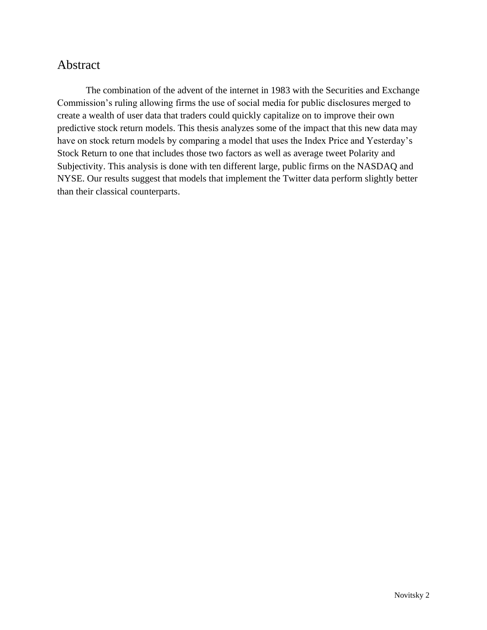## <span id="page-2-0"></span>Abstract

The combination of the advent of the internet in 1983 with the Securities and Exchange Commission's ruling allowing firms the use of social media for public disclosures merged to create a wealth of user data that traders could quickly capitalize on to improve their own predictive stock return models. This thesis analyzes some of the impact that this new data may have on stock return models by comparing a model that uses the Index Price and Yesterday's Stock Return to one that includes those two factors as well as average tweet Polarity and Subjectivity. This analysis is done with ten different large, public firms on the NASDAQ and NYSE. Our results suggest that models that implement the Twitter data perform slightly better than their classical counterparts.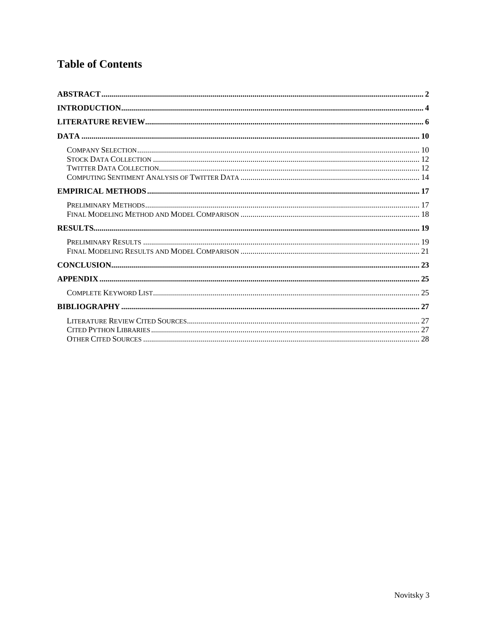## **Table of Contents**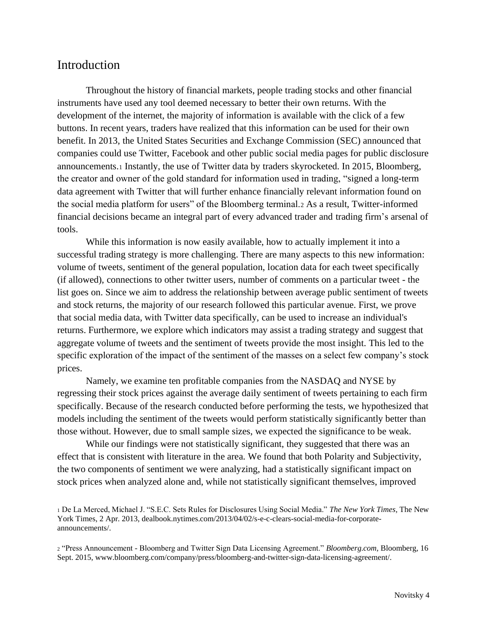## <span id="page-4-0"></span>Introduction

Throughout the history of financial markets, people trading stocks and other financial instruments have used any tool deemed necessary to better their own returns. With the development of the internet, the majority of information is available with the click of a few buttons. In recent years, traders have realized that this information can be used for their own benefit. In 2013, the United States Securities and Exchange Commission (SEC) announced that companies could use Twitter, Facebook and other public social media pages for public disclosure announcements.<sup>1</sup> Instantly, the use of Twitter data by traders skyrocketed. In 2015, Bloomberg, the creator and owner of the gold standard for information used in trading, "signed a long-term data agreement with Twitter that will further enhance financially relevant information found on the social media platform for users" of the Bloomberg terminal.<sup>2</sup> As a result, Twitter-informed financial decisions became an integral part of every advanced trader and trading firm's arsenal of tools.

While this information is now easily available, how to actually implement it into a successful trading strategy is more challenging. There are many aspects to this new information: volume of tweets, sentiment of the general population, location data for each tweet specifically (if allowed), connections to other twitter users, number of comments on a particular tweet - the list goes on. Since we aim to address the relationship between average public sentiment of tweets and stock returns, the majority of our research followed this particular avenue. First, we prove that social media data, with Twitter data specifically, can be used to increase an individual's returns. Furthermore, we explore which indicators may assist a trading strategy and suggest that aggregate volume of tweets and the sentiment of tweets provide the most insight. This led to the specific exploration of the impact of the sentiment of the masses on a select few company's stock prices.

Namely, we examine ten profitable companies from the NASDAQ and NYSE by regressing their stock prices against the average daily sentiment of tweets pertaining to each firm specifically. Because of the research conducted before performing the tests, we hypothesized that models including the sentiment of the tweets would perform statistically significantly better than those without. However, due to small sample sizes, we expected the significance to be weak.

While our findings were not statistically significant, they suggested that there was an effect that is consistent with literature in the area. We found that both Polarity and Subjectivity, the two components of sentiment we were analyzing, had a statistically significant impact on stock prices when analyzed alone and, while not statistically significant themselves, improved

<sup>2</sup> "Press Announcement - Bloomberg and Twitter Sign Data Licensing Agreement." *Bloomberg.com*, Bloomberg, 16 Sept. 2015, www.bloomberg.com/company/press/bloomberg-and-twitter-sign-data-licensing-agreement/.

<sup>1</sup> De La Merced, Michael J. "S.E.C. Sets Rules for Disclosures Using Social Media." *The New York Times,* The New York Times, 2 Apr. 2013, dealbook.nytimes.com/2013/04/02/s-e-c-clears-social-media-for-corporateannouncements/.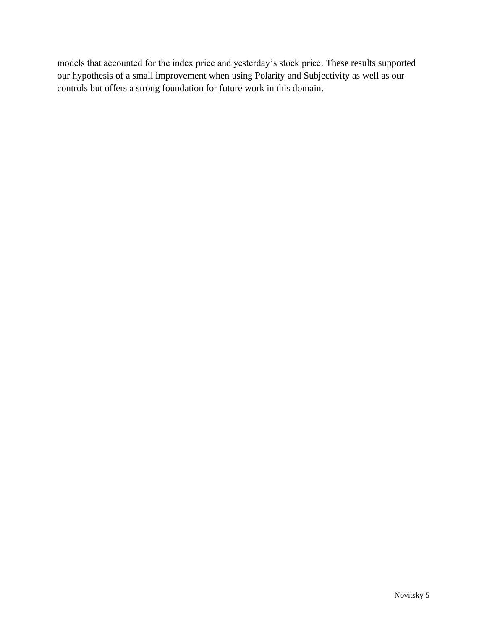models that accounted for the index price and yesterday's stock price. These results supported our hypothesis of a small improvement when using Polarity and Subjectivity as well as our controls but offers a strong foundation for future work in this domain.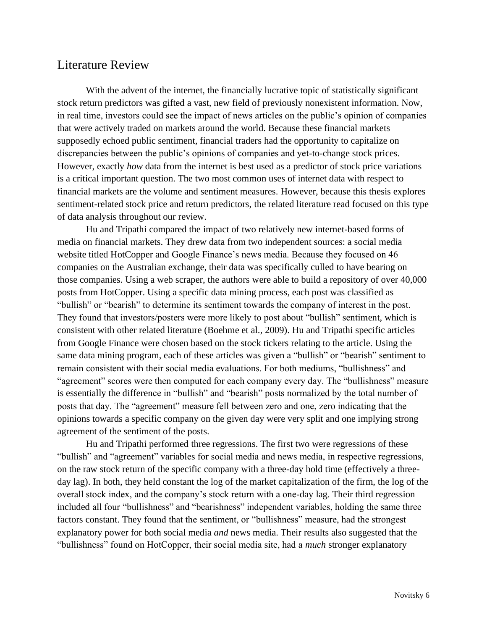## <span id="page-6-0"></span>Literature Review

With the advent of the internet, the financially lucrative topic of statistically significant stock return predictors was gifted a vast, new field of previously nonexistent information. Now, in real time, investors could see the impact of news articles on the public's opinion of companies that were actively traded on markets around the world. Because these financial markets supposedly echoed public sentiment, financial traders had the opportunity to capitalize on discrepancies between the public's opinions of companies and yet-to-change stock prices. However, exactly *how* data from the internet is best used as a predictor of stock price variations is a critical important question. The two most common uses of internet data with respect to financial markets are the volume and sentiment measures. However, because this thesis explores sentiment-related stock price and return predictors, the related literature read focused on this type of data analysis throughout our review.

Hu and Tripathi compared the impact of two relatively new internet-based forms of media on financial markets. They drew data from two independent sources: a social media website titled HotCopper and Google Finance's news media. Because they focused on 46 companies on the Australian exchange, their data was specifically culled to have bearing on those companies. Using a web scraper, the authors were able to build a repository of over 40,000 posts from HotCopper. Using a specific data mining process, each post was classified as "bullish" or "bearish" to determine its sentiment towards the company of interest in the post. They found that investors/posters were more likely to post about "bullish" sentiment, which is consistent with other related literature (Boehme et al., 2009). Hu and Tripathi specific articles from Google Finance were chosen based on the stock tickers relating to the article. Using the same data mining program, each of these articles was given a "bullish" or "bearish" sentiment to remain consistent with their social media evaluations. For both mediums, "bullishness" and "agreement" scores were then computed for each company every day. The "bullishness" measure is essentially the difference in "bullish" and "bearish" posts normalized by the total number of posts that day. The "agreement" measure fell between zero and one, zero indicating that the opinions towards a specific company on the given day were very split and one implying strong agreement of the sentiment of the posts.

Hu and Tripathi performed three regressions. The first two were regressions of these "bullish" and "agreement" variables for social media and news media, in respective regressions, on the raw stock return of the specific company with a three-day hold time (effectively a threeday lag). In both, they held constant the log of the market capitalization of the firm, the log of the overall stock index, and the company's stock return with a one-day lag. Their third regression included all four "bullishness" and "bearishness" independent variables, holding the same three factors constant. They found that the sentiment, or "bullishness" measure, had the strongest explanatory power for both social media *and* news media. Their results also suggested that the "bullishness" found on HotCopper, their social media site, had a *much* stronger explanatory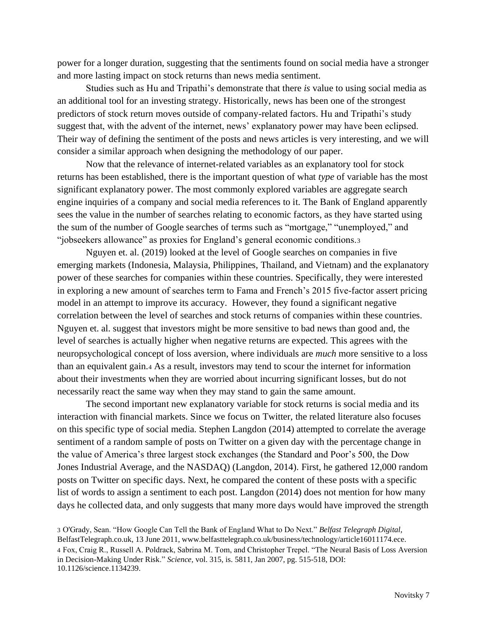power for a longer duration, suggesting that the sentiments found on social media have a stronger and more lasting impact on stock returns than news media sentiment.

 Studies such as Hu and Tripathi's demonstrate that there *is* value to using social media as an additional tool for an investing strategy. Historically, news has been one of the strongest predictors of stock return moves outside of company-related factors. Hu and Tripathi's study suggest that, with the advent of the internet, news' explanatory power may have been eclipsed. Their way of defining the sentiment of the posts and news articles is very interesting, and we will consider a similar approach when designing the methodology of our paper.

 Now that the relevance of internet-related variables as an explanatory tool for stock returns has been established, there is the important question of what *type* of variable has the most significant explanatory power. The most commonly explored variables are aggregate search engine inquiries of a company and social media references to it. The Bank of England apparently sees the value in the number of searches relating to economic factors, as they have started using the sum of the number of Google searches of terms such as "mortgage," "unemployed," and "jobseekers allowance" as proxies for England's general economic conditions.<sup>3</sup>

 Nguyen et. al. (2019) looked at the level of Google searches on companies in five emerging markets (Indonesia, Malaysia, Philippines, Thailand, and Vietnam) and the explanatory power of these searches for companies within these countries. Specifically, they were interested in exploring a new amount of searches term to Fama and French's 2015 five-factor assert pricing model in an attempt to improve its accuracy. However, they found a significant negative correlation between the level of searches and stock returns of companies within these countries. Nguyen et. al. suggest that investors might be more sensitive to bad news than good and, the level of searches is actually higher when negative returns are expected. This agrees with the neuropsychological concept of loss aversion, where individuals are *much* more sensitive to a loss than an equivalent gain.<sup>4</sup> As a result, investors may tend to scour the internet for information about their investments when they are worried about incurring significant losses, but do not necessarily react the same way when they may stand to gain the same amount.

 The second important new explanatory variable for stock returns is social media and its interaction with financial markets. Since we focus on Twitter, the related literature also focuses on this specific type of social media. Stephen Langdon (2014) attempted to correlate the average sentiment of a random sample of posts on Twitter on a given day with the percentage change in the value of America's three largest stock exchanges (the Standard and Poor's 500, the Dow Jones Industrial Average, and the NASDAQ) (Langdon, 2014). First, he gathered 12,000 random posts on Twitter on specific days. Next, he compared the content of these posts with a specific list of words to assign a sentiment to each post. Langdon (2014) does not mention for how many days he collected data, and only suggests that many more days would have improved the strength

3 O'Grady, Sean. "How Google Can Tell the Bank of England What to Do Next." *Belfast Telegraph Digital*, BelfastTelegraph.co.uk, 13 June 2011, www.belfasttelegraph.co.uk/business/technology/article16011174.ece. 4 Fox, Craig R., Russell A. Poldrack, Sabrina M. Tom, and Christopher Trepel. "The Neural Basis of Loss Aversion in Decision-Making Under Risk." *Science,* vol. 315, is. 5811, Jan 2007, pg. 515-518, DOI: 10.1126/science.1134239.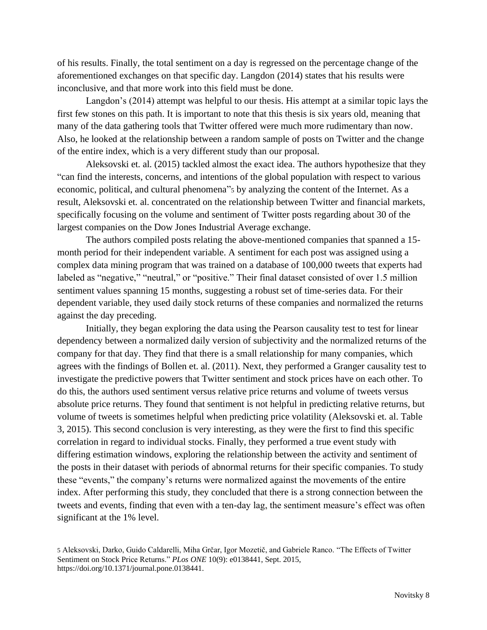of his results. Finally, the total sentiment on a day is regressed on the percentage change of the aforementioned exchanges on that specific day. Langdon (2014) states that his results were inconclusive, and that more work into this field must be done.

 Langdon's (2014) attempt was helpful to our thesis. His attempt at a similar topic lays the first few stones on this path. It is important to note that this thesis is six years old, meaning that many of the data gathering tools that Twitter offered were much more rudimentary than now. Also, he looked at the relationship between a random sample of posts on Twitter and the change of the entire index, which is a very different study than our proposal.

 Aleksovski et. al. (2015) tackled almost the exact idea. The authors hypothesize that they "can find the interests, concerns, and intentions of the global population with respect to various economic, political, and cultural phenomena"<sup>5</sup> by analyzing the content of the Internet. As a result, Aleksovski et. al. concentrated on the relationship between Twitter and financial markets, specifically focusing on the volume and sentiment of Twitter posts regarding about 30 of the largest companies on the Dow Jones Industrial Average exchange.

The authors compiled posts relating the above-mentioned companies that spanned a 15 month period for their independent variable. A sentiment for each post was assigned using a complex data mining program that was trained on a database of 100,000 tweets that experts had labeled as "negative," "neutral," or "positive." Their final dataset consisted of over 1.5 million sentiment values spanning 15 months, suggesting a robust set of time-series data. For their dependent variable, they used daily stock returns of these companies and normalized the returns against the day preceding.

Initially, they began exploring the data using the Pearson causality test to test for linear dependency between a normalized daily version of subjectivity and the normalized returns of the company for that day. They find that there is a small relationship for many companies, which agrees with the findings of Bollen et. al. (2011). Next, they performed a Granger causality test to investigate the predictive powers that Twitter sentiment and stock prices have on each other. To do this, the authors used sentiment versus relative price returns and volume of tweets versus absolute price returns. They found that sentiment is not helpful in predicting relative returns, but volume of tweets is sometimes helpful when predicting price volatility (Aleksovski et. al. Table 3, 2015). This second conclusion is very interesting, as they were the first to find this specific correlation in regard to individual stocks. Finally, they performed a true event study with differing estimation windows, exploring the relationship between the activity and sentiment of the posts in their dataset with periods of abnormal returns for their specific companies. To study these "events," the company's returns were normalized against the movements of the entire index. After performing this study, they concluded that there is a strong connection between the tweets and events, finding that even with a ten-day lag, the sentiment measure's effect was often significant at the 1% level.

<sup>5</sup> Aleksovski, Darko, Guido Caldarelli, Miha Grčar, Igor Mozetič, and Gabriele Ranco. "The Effects of Twitter Sentiment on Stock Price Returns." *PLos ONE* 10(9): e0138441, Sept. 2015, https://doi.org/10.1371/journal.pone.0138441.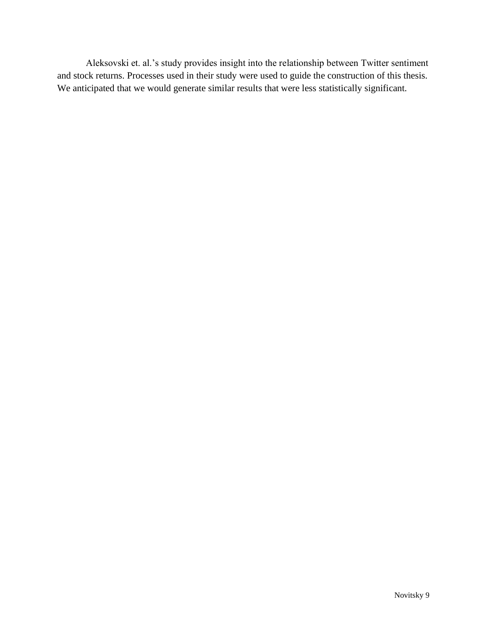Aleksovski et. al.'s study provides insight into the relationship between Twitter sentiment and stock returns. Processes used in their study were used to guide the construction of this thesis. We anticipated that we would generate similar results that were less statistically significant.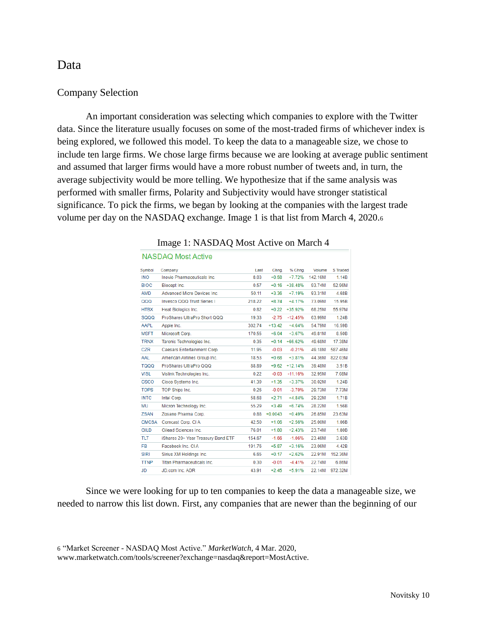#### <span id="page-10-0"></span>Data

#### <span id="page-10-1"></span>Company Selection

An important consideration was selecting which companies to explore with the Twitter data. Since the literature usually focuses on some of the most-traded firms of whichever index is being explored, we followed this model. To keep the data to a manageable size, we chose to include ten large firms. We chose large firms because we are looking at average public sentiment and assumed that larger firms would have a more robust number of tweets and, in turn, the average subjectivity would be more telling. We hypothesize that if the same analysis was performed with smaller firms, Polarity and Subjectivity would have stronger statistical significance. To pick the firms, we began by looking at the companies with the largest trade volume per day on the NASDAQ exchange. Image 1 is that list from March 4, 2020.<sup>6</sup>

| Symbol       | Company                            | Last   | Chng.     | % Chng.   | Volume  | <b>S</b> Traded |
|--------------|------------------------------------|--------|-----------|-----------|---------|-----------------|
| <b>INO</b>   | Inovio Pharmaceuticals Inc.        | 8.03   | $+0.58$   | $+7.72%$  | 142.16M | 1.14B           |
| <b>BIOC</b>  | Biocept Inc.                       | 0.57   | $+0.16$   | $+38.48%$ | 93.74M  | 52.96M          |
| AMD          | Advanced Micro Devices Inc.        | 50.11  | $+3.36$   | $+7.19%$  | 93.31M  | 4.68B           |
| 000          | Invesco QQQ Trust Series I         | 218.22 | $+8.74$   | $+4.17%$  | 73.09M  | 15.95B          |
| <b>HTBX</b>  | <b>Heat Biologics Inc.</b>         | 0.82   | $+0.22$   | +35.92%   | 68.25M  | 55.97M          |
| <b>SQQQ</b>  | ProShares UltraPro Short QQQ       | 19.33  | $-2.75$   | $-12.45%$ | 63.99M  | 1.24B           |
| AAPL         | Apple Inc.                         | 302.74 | $+13.42$  | $+4.64%$  | 54.79M  | 16.59B          |
| <b>MSFT</b>  | Microsoft Corp.                    | 170.55 | $+6.04$   | $+3.67%$  | 49.81M  | 8.50B           |
| <b>TRNX</b>  | Taronis Technologies Inc.          | 0.35   | $+0.14$   | $+66.62%$ | 49.68M  | 17.38M          |
| <b>CZR</b>   | Caesars Entertainment Corp.        | 11.95  | $-0.03$   | $-0.21%$  | 49.18M  | 587.46M         |
| AAL          | American Airlines Group Inc.       | 18.53  | $+0.68$   | $+3.81%$  | 44.36M  | 822.03M         |
| <b>TQQQ</b>  | ProShares UltraPro QQQ             | 88.89  | $+9.62$   | $+12.14%$ | 39.48M  | 3.51B           |
| <b>VISL</b>  | Vislink Technologies Inc.          | 0.22   | $-0.03$   | $-11.16%$ | 32.95M  | 7.08M           |
| <b>CSCO</b>  | Cisco Systems Inc.                 | 41.39  | $+1.35$   | $+3.37%$  | 30.02M  | 1.24B           |
| <b>TOPS</b>  | TOP Ships Inc.                     | 0.26   | $-0.01$   | $-3.70%$  | 29.73M  | 7.73M           |
| <b>INTC</b>  | Intel Corp.                        | 58.68  | $+2.71$   | $+4.84%$  | 29.22M  | 1.71B           |
| MU           | Micron Technology Inc.             | 55.29  | $+3.49$   | $+6.74%$  | 28.22M  | 1.56B           |
| <b>ZSAN</b>  | Zosano Pharma Corp.                | 0.88   | $+0.0043$ | $+0.49%$  | 26.85M  | 23.63M          |
| <b>CMCSA</b> | Comcast Corp. CIA                  | 42.50  | $+1.06$   | $+2.56%$  | 25.00M  | 1.06B           |
| <b>GILD</b>  | Gilead Sciences Inc.               | 76.01  | $+1.80$   | $+2.43%$  | 23.74M  | 1.80B           |
| <b>TLT</b>   | iShares 20+ Year Treasury Bond ETF | 154.67 | $-1.66$   | $-1.06%$  | 23.46M  | 3.63B           |
| <b>FB</b>    | Facebook Inc. CIA                  | 191.76 | $+5.87$   | $+3.16%$  | 23.06M  | 4.42B           |
| <b>SIRI</b>  | Sirius XM Holdings Inc.            | 6.65   | $+0.17$   | $+2.62%$  | 22.91M  | 152.36M         |
| <b>TTNP</b>  | <b>Titan Pharmaceuticals Inc.</b>  | 0.30   | $-0.01$   | $-4.41%$  | 22.74M  | 6.86M           |
| <b>JD</b>    | JD.com Inc. ADR                    | 43.91  | $+2.45$   | $+5.91%$  | 22.14M  | 972.32M         |
|              |                                    |        |           |           |         |                 |

#### Image 1: NASDAQ Most Active on March 4

Since we were looking for up to ten companies to keep the data a manageable size, we needed to narrow this list down. First, any companies that are newer than the beginning of our

NASDAO Most Active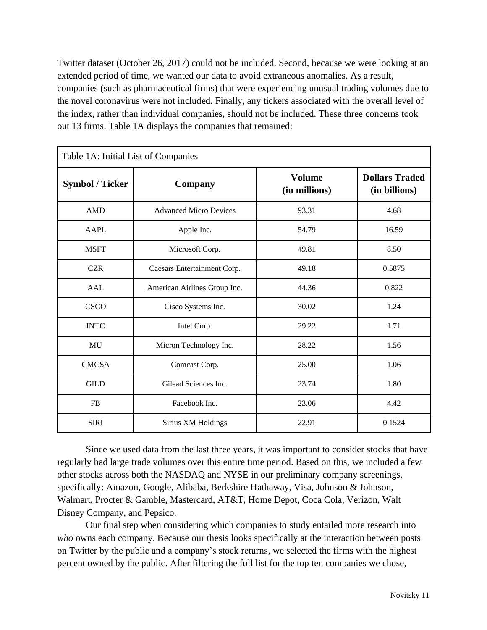Twitter dataset (October 26, 2017) could not be included. Second, because we were looking at an extended period of time, we wanted our data to avoid extraneous anomalies. As a result, companies (such as pharmaceutical firms) that were experiencing unusual trading volumes due to the novel coronavirus were not included. Finally, any tickers associated with the overall level of the index, rather than individual companies, should not be included. These three concerns took out 13 firms. Table 1A displays the companies that remained:

| Table 1A: Initial List of Companies |                               |                                |                                        |  |  |  |
|-------------------------------------|-------------------------------|--------------------------------|----------------------------------------|--|--|--|
| <b>Symbol / Ticker</b>              | Company                       | <b>Volume</b><br>(in millions) | <b>Dollars Traded</b><br>(in billions) |  |  |  |
| <b>AMD</b>                          | <b>Advanced Micro Devices</b> | 93.31                          | 4.68                                   |  |  |  |
| AAPL                                | Apple Inc.                    | 54.79                          | 16.59                                  |  |  |  |
| <b>MSFT</b>                         | Microsoft Corp.               | 49.81                          | 8.50                                   |  |  |  |
| <b>CZR</b>                          | Caesars Entertainment Corp.   | 49.18                          | 0.5875                                 |  |  |  |
| AAL                                 | American Airlines Group Inc.  | 44.36                          | 0.822                                  |  |  |  |
| <b>CSCO</b>                         | Cisco Systems Inc.            | 30.02                          | 1.24                                   |  |  |  |
| <b>INTC</b>                         | Intel Corp.                   | 29.22                          | 1.71                                   |  |  |  |
| MU                                  | Micron Technology Inc.        | 28.22                          | 1.56                                   |  |  |  |
| <b>CMCSA</b>                        | Comcast Corp.                 | 25.00                          | 1.06                                   |  |  |  |
| <b>GILD</b>                         | Gilead Sciences Inc.          | 23.74                          | 1.80                                   |  |  |  |
| <b>FB</b>                           | Facebook Inc.                 | 23.06                          | 4.42                                   |  |  |  |
| <b>SIRI</b>                         | Sirius XM Holdings            | 22.91                          | 0.1524                                 |  |  |  |

Since we used data from the last three years, it was important to consider stocks that have regularly had large trade volumes over this entire time period. Based on this, we included a few other stocks across both the NASDAQ and NYSE in our preliminary company screenings, specifically: Amazon, Google, Alibaba, Berkshire Hathaway, Visa, Johnson & Johnson, Walmart, Procter & Gamble, Mastercard, AT&T, Home Depot, Coca Cola, Verizon, Walt Disney Company, and Pepsico.

Our final step when considering which companies to study entailed more research into *who* owns each company. Because our thesis looks specifically at the interaction between posts on Twitter by the public and a company's stock returns, we selected the firms with the highest percent owned by the public. After filtering the full list for the top ten companies we chose,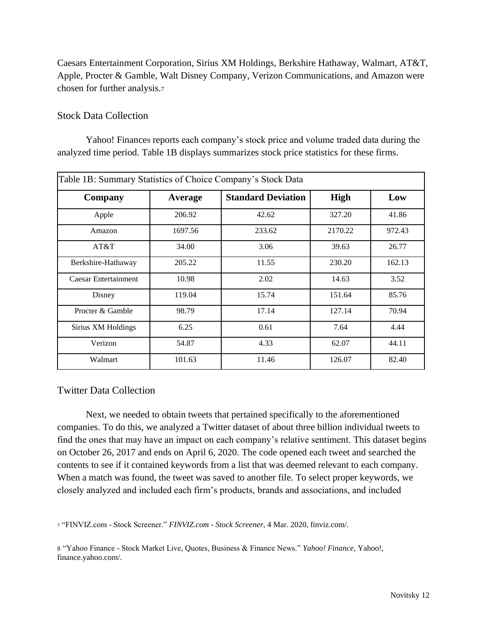Caesars Entertainment Corporation, Sirius XM Holdings, Berkshire Hathaway, Walmart, AT&T, Apple, Procter & Gamble, Walt Disney Company, Verizon Communications, and Amazon were chosen for further analysis.<sup>7</sup>

#### <span id="page-12-0"></span>Stock Data Collection

Yahoo! Finances reports each company's stock price and volume traded data during the analyzed time period. Table 1B displays summarizes stock price statistics for these firms.

| Table 1B: Summary Statistics of Choice Company's Stock Data |         |                           |             |        |  |  |  |
|-------------------------------------------------------------|---------|---------------------------|-------------|--------|--|--|--|
| Company                                                     | Average | <b>Standard Deviation</b> | <b>High</b> | Low    |  |  |  |
| Apple                                                       | 206.92  | 42.62                     | 327.20      | 41.86  |  |  |  |
| Amazon                                                      | 1697.56 | 233.62                    | 2170.22     | 972.43 |  |  |  |
| AT&T                                                        | 34.00   | 3.06                      | 39.63       | 26.77  |  |  |  |
| Berkshire-Hathaway                                          | 205.22  | 11.55                     | 230.20      | 162.13 |  |  |  |
| Caesar Entertainment                                        | 10.98   | 2.02                      | 14.63       | 3.52   |  |  |  |
| Disney                                                      | 119.04  | 15.74                     | 151.64      | 85.76  |  |  |  |
| Procter & Gamble                                            | 98.79   | 17.14                     | 127.14      | 70.94  |  |  |  |
| Sirius XM Holdings                                          | 6.25    | 0.61                      | 7.64        | 4.44   |  |  |  |
| Verizon                                                     | 54.87   | 4.33                      | 62.07       | 44.11  |  |  |  |
| Walmart                                                     | 101.63  | 11.46                     | 126.07      | 82.40  |  |  |  |

#### <span id="page-12-1"></span>Twitter Data Collection

Next, we needed to obtain tweets that pertained specifically to the aforementioned companies. To do this, we analyzed a Twitter dataset of about three billion individual tweets to find the ones that may have an impact on each company's relative sentiment. This dataset begins on October 26, 2017 and ends on April 6, 2020. The code opened each tweet and searched the contents to see if it contained keywords from a list that was deemed relevant to each company. When a match was found, the tweet was saved to another file. To select proper keywords, we closely analyzed and included each firm's products, brands and associations, and included

<sup>7</sup> "FINVIZ.com - Stock Screener." *FINVIZ.com - Stock Screener*, 4 Mar. 2020, finviz.com/.

8 "Yahoo Finance - Stock Market Live, Quotes, Business & Finance News." *Yahoo! Finance*, Yahoo!, finance.yahoo.com/.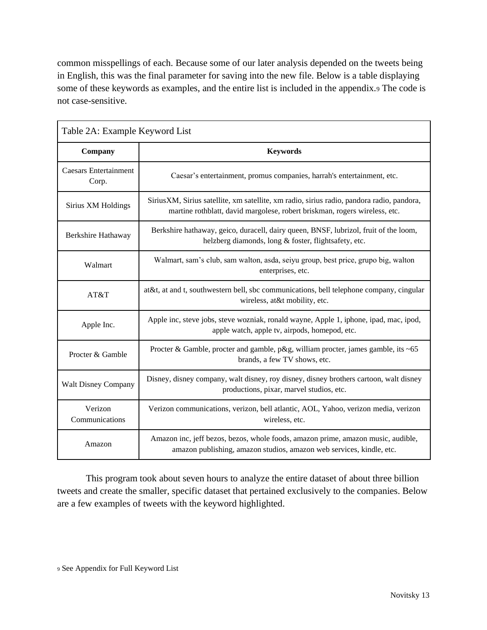common misspellings of each. Because some of our later analysis depended on the tweets being in English, this was the final parameter for saving into the new file. Below is a table displaying some of these keywords as examples, and the entire list is included in the appendix.<sup>9</sup> The code is not case-sensitive.

| Table 2A: Example Keyword List        |                                                                                                                                                                         |  |  |  |
|---------------------------------------|-------------------------------------------------------------------------------------------------------------------------------------------------------------------------|--|--|--|
| Company                               | <b>Keywords</b>                                                                                                                                                         |  |  |  |
| <b>Caesars Entertainment</b><br>Corp. | Caesar's entertainment, promus companies, harrah's entertainment, etc.                                                                                                  |  |  |  |
| Sirius XM Holdings                    | SiriusXM, Sirius satellite, xm satellite, xm radio, sirius radio, pandora radio, pandora,<br>martine rothblatt, david margolese, robert briskman, rogers wireless, etc. |  |  |  |
| Berkshire Hathaway                    | Berkshire hathaway, geico, duracell, dairy queen, BNSF, lubrizol, fruit of the loom,<br>helzberg diamonds, long & foster, flightsafety, etc.                            |  |  |  |
| Walmart                               | Walmart, sam's club, sam walton, asda, seiyu group, best price, grupo big, walton<br>enterprises, etc.                                                                  |  |  |  |
| AT&T                                  | at&t, at and t, southwestern bell, sbc communications, bell telephone company, cingular<br>wireless, at&t mobility, etc.                                                |  |  |  |
| Apple Inc.                            | Apple inc, steve jobs, steve wozniak, ronald wayne, Apple 1, iphone, ipad, mac, ipod,<br>apple watch, apple tv, airpods, homepod, etc.                                  |  |  |  |
| Procter & Gamble                      | Procter & Gamble, procter and gamble, p&g, william procter, james gamble, its ~65<br>brands, a few TV shows, etc.                                                       |  |  |  |
| <b>Walt Disney Company</b>            | Disney, disney company, walt disney, roy disney, disney brothers cartoon, walt disney<br>productions, pixar, marvel studios, etc.                                       |  |  |  |
| Verizon<br>Communications             | Verizon communications, verizon, bell atlantic, AOL, Yahoo, verizon media, verizon<br>wireless, etc.                                                                    |  |  |  |
| Amazon                                | Amazon inc, jeff bezos, bezos, whole foods, amazon prime, amazon music, audible,<br>amazon publishing, amazon studios, amazon web services, kindle, etc.                |  |  |  |

This program took about seven hours to analyze the entire dataset of about three billion tweets and create the smaller, specific dataset that pertained exclusively to the companies. Below are a few examples of tweets with the keyword highlighted.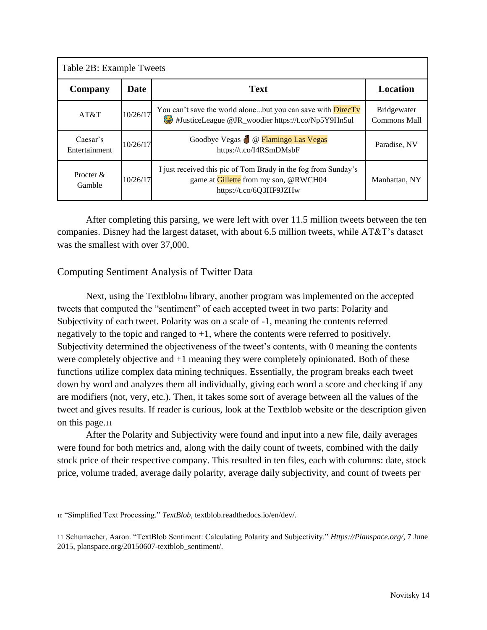| Table 2B: Example Tweets  |          |                                                                                                                                    |                                    |  |  |  |
|---------------------------|----------|------------------------------------------------------------------------------------------------------------------------------------|------------------------------------|--|--|--|
| Company                   | Date     | <b>Text</b>                                                                                                                        | Location                           |  |  |  |
| AT&T                      | 10/26/17 | You can't save the world alonebut you can save with <b>DirecTv</b><br>#JusticeLeague @JR_woodier https://t.co/Np5Y9Hn5ul           | <b>Bridgewater</b><br>Commons Mall |  |  |  |
| Caesar's<br>Entertainment | 10/26/17 | Goodbye Vegas (Compariso Las Vegas<br>https://t.co/I4RSmDMsbF                                                                      | Paradise, NV                       |  |  |  |
| Procter $\&$<br>Gamble    | 10/26/17 | I just received this pic of Tom Brady in the fog from Sunday's<br>game at Gillette from my son, @RWCH04<br>https://t.co/6Q3HF9JZHw | Manhattan, NY                      |  |  |  |

After completing this parsing, we were left with over 11.5 million tweets between the ten companies. Disney had the largest dataset, with about 6.5 million tweets, while AT&T's dataset was the smallest with over 37,000.

#### <span id="page-14-0"></span>Computing Sentiment Analysis of Twitter Data

Next, using the Textblob<sub>10</sub> library, another program was implemented on the accepted tweets that computed the "sentiment" of each accepted tweet in two parts: Polarity and Subjectivity of each tweet. Polarity was on a scale of -1, meaning the contents referred negatively to the topic and ranged to  $+1$ , where the contents were referred to positively. Subjectivity determined the objectiveness of the tweet's contents, with 0 meaning the contents were completely objective and +1 meaning they were completely opinionated. Both of these functions utilize complex data mining techniques. Essentially, the program breaks each tweet down by word and analyzes them all individually, giving each word a score and checking if any are modifiers (not, very, etc.). Then, it takes some sort of average between all the values of the tweet and gives results. If reader is curious, look at the Textblob website or the description given on this page.<sup>11</sup>

After the Polarity and Subjectivity were found and input into a new file, daily averages were found for both metrics and, along with the daily count of tweets, combined with the daily stock price of their respective company. This resulted in ten files, each with columns: date, stock price, volume traded, average daily polarity, average daily subjectivity, and count of tweets per

<sup>10</sup> "Simplified Text Processing." *TextBlob*, textblob.readthedocs.io/en/dev/.

<sup>11</sup> Schumacher, Aaron. "TextBlob Sentiment: Calculating Polarity and Subjectivity." *Https://Planspace.org/*, 7 June 2015, planspace.org/20150607-textblob\_sentiment/.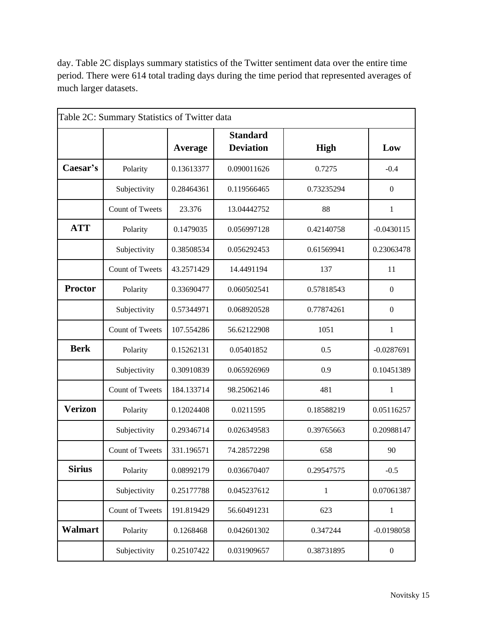day. Table 2C displays summary statistics of the Twitter sentiment data over the entire time period. There were 614 total trading days during the time period that represented averages of much larger datasets.

|                |                        |            | <b>Standard</b>  |              |                  |
|----------------|------------------------|------------|------------------|--------------|------------------|
|                |                        | Average    | <b>Deviation</b> | <b>High</b>  | Low              |
| Caesar's       | Polarity               | 0.13613377 | 0.090011626      | 0.7275       | $-0.4$           |
|                | Subjectivity           | 0.28464361 | 0.119566465      | 0.73235294   | $\boldsymbol{0}$ |
|                | <b>Count of Tweets</b> | 23.376     | 13.04442752      | 88           | 1                |
| <b>ATT</b>     | Polarity               | 0.1479035  | 0.056997128      | 0.42140758   | $-0.0430115$     |
|                | Subjectivity           | 0.38508534 | 0.056292453      | 0.61569941   | 0.23063478       |
|                | <b>Count of Tweets</b> | 43.2571429 | 14.4491194       | 137          | 11               |
| <b>Proctor</b> | Polarity               | 0.33690477 | 0.060502541      | 0.57818543   | $\mathbf{0}$     |
|                | Subjectivity           | 0.57344971 | 0.068920528      | 0.77874261   | $\mathbf{0}$     |
|                | <b>Count of Tweets</b> | 107.554286 | 56.62122908      | 1051         | 1                |
| <b>Berk</b>    | Polarity               | 0.15262131 | 0.05401852       | 0.5          | $-0.0287691$     |
|                | Subjectivity           | 0.30910839 | 0.065926969      | 0.9          | 0.10451389       |
|                | <b>Count of Tweets</b> | 184.133714 | 98.25062146      | 481          | 1                |
| Verizon        | Polarity               | 0.12024408 | 0.0211595        | 0.18588219   | 0.05116257       |
|                | Subjectivity           | 0.29346714 | 0.026349583      | 0.39765663   | 0.20988147       |
|                | <b>Count of Tweets</b> | 331.196571 | 74.28572298      | 658          | 90               |
| Sirius         | Polarity               | 0.08992179 | 0.036670407      | 0.29547575   | $-0.5$           |
|                | Subjectivity           | 0.25177788 | 0.045237612      | $\mathbf{1}$ | 0.07061387       |
|                | Count of Tweets        | 191.819429 | 56.60491231      | 623          | $\mathbf{1}$     |
| Walmart        | Polarity               | 0.1268468  | 0.042601302      | 0.347244     | $-0.0198058$     |
|                | Subjectivity           | 0.25107422 | 0.031909657      | 0.38731895   | $\boldsymbol{0}$ |
|                |                        |            |                  |              |                  |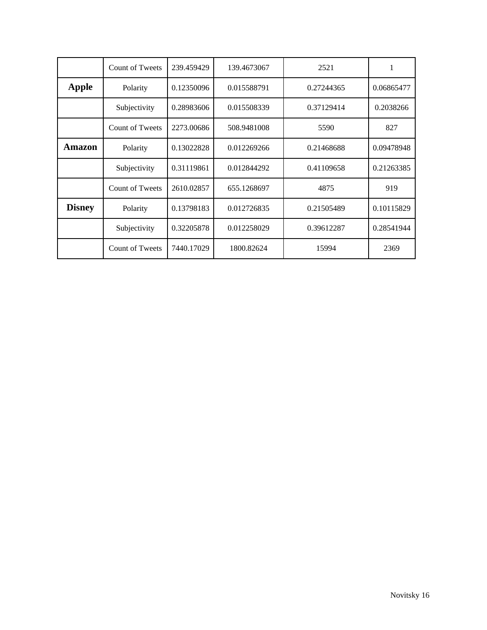|               | Count of Tweets        | 239.459429 | 139.4673067 | 2521       |            |
|---------------|------------------------|------------|-------------|------------|------------|
| Apple         | Polarity               | 0.12350096 | 0.015588791 | 0.27244365 | 0.06865477 |
|               | Subjectivity           | 0.28983606 | 0.015508339 | 0.37129414 | 0.2038266  |
|               | Count of Tweets        | 2273.00686 | 508.9481008 | 5590       | 827        |
| Amazon        | Polarity               | 0.13022828 | 0.012269266 | 0.21468688 | 0.09478948 |
|               | Subjectivity           | 0.31119861 | 0.012844292 | 0.41109658 | 0.21263385 |
|               | <b>Count of Tweets</b> | 2610.02857 | 655.1268697 | 4875       | 919        |
| <b>Disney</b> | Polarity               | 0.13798183 | 0.012726835 | 0.21505489 | 0.10115829 |
|               | Subjectivity           | 0.32205878 | 0.012258029 | 0.39612287 | 0.28541944 |
|               | <b>Count of Tweets</b> | 7440.17029 | 1800.82624  | 15994      | 2369       |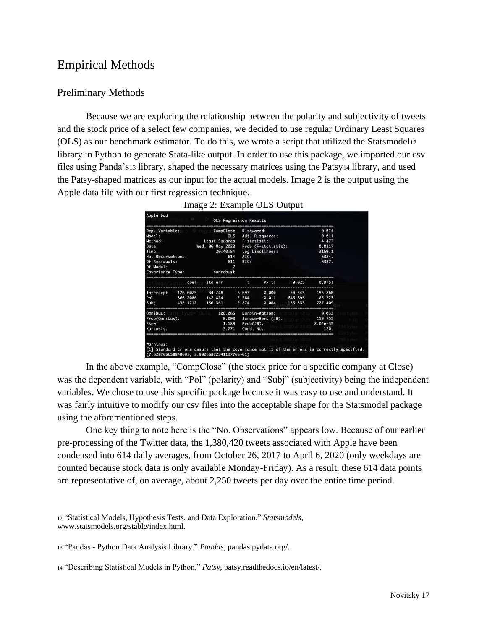## <span id="page-17-0"></span>Empirical Methods

#### <span id="page-17-1"></span>Preliminary Methods

Because we are exploring the relationship between the polarity and subjectivity of tweets and the stock price of a select few companies, we decided to use regular Ordinary Least Squares (OLS) as our benchmark estimator. To do this, we wrote a script that utilized the Statsmodel<sup>12</sup> library in Python to generate Stata-like output. In order to use this package, we imported our csv files using Panda's<sup>13</sup> library, shaped the necessary matrices using the Patsy<sup>14</sup> library, and used the Patsy-shaped matrices as our input for the actual models. Image 2 is the output using the Apple data file with our first regression technique.

| Dep. Variable: CompClose R-squared: |  |  |                |                            |                                      |                                                      | 0.014      |  |
|-------------------------------------|--|--|----------------|----------------------------|--------------------------------------|------------------------------------------------------|------------|--|
| Model:                              |  |  |                |                            | OLS Adj. R-squared:                  |                                                      | 0.011      |  |
| Method:                             |  |  |                | Least Squares F-statistic: |                                      |                                                      | 4.477      |  |
| Date:                               |  |  |                |                            | Wed, 06 May 2020 Prob (F-statistic): |                                                      | 0.0117     |  |
| Time:                               |  |  |                |                            | 20:40:54 Log-Likelihood:             | $-3159.1$                                            |            |  |
| No. Observations:                   |  |  | 614 AIC:       |                            |                                      |                                                      | 6324.      |  |
| Df Residuals:                       |  |  | 611            | BIC:                       |                                      |                                                      | 6337.      |  |
| Df Model:                           |  |  | $\overline{z}$ |                            |                                      |                                                      |            |  |
| Covariance Type: monrobust          |  |  |                |                            |                                      |                                                      |            |  |
|                                     |  |  |                |                            |                                      | coef std err t P>ltl [0.025 0.975]                   |            |  |
|                                     |  |  |                |                            |                                      | Intercept 126.6025 34.248 3.697 0.000 59.345 193.860 |            |  |
|                                     |  |  |                |                            |                                      | Pol -366.2086 142.824 -2.564 0.011 -646.695 -85.723  |            |  |
|                                     |  |  |                |                            |                                      | Subj 432.1212 150.361 2.874 0.004 136.833 727.409    |            |  |
| Omnibus:                            |  |  |                |                            | 106.065 Durbin-Watson:               |                                                      | 0.033      |  |
| Prob(Omnibus):                      |  |  |                |                            | 0.000 Jarque-Bera (JB):              |                                                      | 159.755    |  |
| Skew:                               |  |  |                | $1.189$ $Prob(JB)$ :       |                                      |                                                      | $2.04e-35$ |  |
| Kurtosis:                           |  |  | 3.771          | Cond. No.                  |                                      |                                                      | 120.       |  |
|                                     |  |  |                |                            |                                      |                                                      |            |  |
|                                     |  |  |                |                            |                                      |                                                      |            |  |
| Warnings:                           |  |  |                |                            |                                      |                                                      |            |  |

In the above example, "CompClose" (the stock price for a specific company at Close) was the dependent variable, with "Pol" (polarity) and "Subj" (subjectivity) being the independent variables. We chose to use this specific package because it was easy to use and understand. It was fairly intuitive to modify our csv files into the acceptable shape for the Statsmodel package using the aforementioned steps.

One key thing to note here is the "No. Observations" appears low. Because of our earlier pre-processing of the Twitter data, the 1,380,420 tweets associated with Apple have been condensed into 614 daily averages, from October 26, 2017 to April 6, 2020 (only weekdays are counted because stock data is only available Monday-Friday). As a result, these 614 data points are representative of, on average, about 2,250 tweets per day over the entire time period.

<sup>12</sup> "Statistical Models, Hypothesis Tests, and Data Exploration." *Statsmodels*, www.statsmodels.org/stable/index.html.

<sup>13</sup> "Pandas - Python Data Analysis Library." *Pandas*, pandas.pydata.org/.

<sup>14</sup> "Describing Statistical Models in Python." *Patsy*, patsy.readthedocs.io/en/latest/.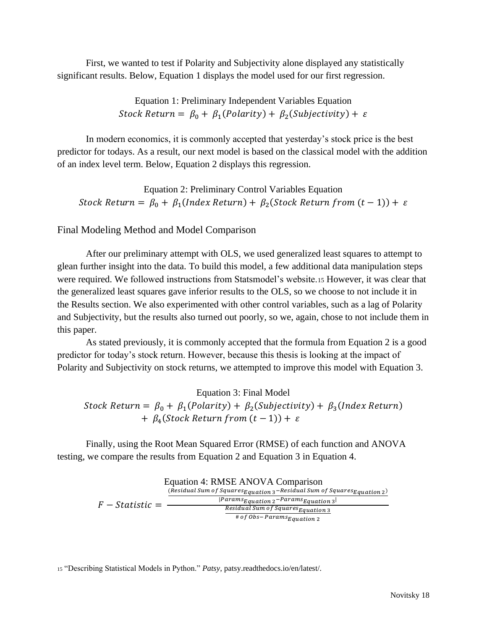First, we wanted to test if Polarity and Subjectivity alone displayed any statistically significant results. Below, Equation 1 displays the model used for our first regression.

> Equation 1: Preliminary Independent Variables Equation Stock Return =  $\beta_0 + \beta_1$ (Polarity) +  $\beta_2$ (Subjectivity) +  $\varepsilon$

In modern economics, it is commonly accepted that yesterday's stock price is the best predictor for todays. As a result, our next model is based on the classical model with the addition of an index level term. Below, Equation 2 displays this regression.

Equation 2: Preliminary Control Variables Equation Stock Return =  $\beta_0 + \beta_1 (Index Return) + \beta_2 (Stock Return from (t-1)) + \varepsilon$ 

#### <span id="page-18-0"></span>Final Modeling Method and Model Comparison

After our preliminary attempt with OLS, we used generalized least squares to attempt to glean further insight into the data. To build this model, a few additional data manipulation steps were required. We followed instructions from Statsmodel's website.<sup>15</sup> However, it was clear that the generalized least squares gave inferior results to the OLS, so we choose to not include it in the Results section. We also experimented with other control variables, such as a lag of Polarity and Subjectivity, but the results also turned out poorly, so we, again, chose to not include them in this paper.

As stated previously, it is commonly accepted that the formula from Equation 2 is a good predictor for today's stock return. However, because this thesis is looking at the impact of Polarity and Subjectivity on stock returns, we attempted to improve this model with Equation 3.

Equation 3: Final Model Stock Return =  $\beta_0 + \beta_1 (Polarity) + \beta_2 (Subjectivity) + \beta_3 (Index Return)$  $+ \beta_4 (Stock Return from (t-1)) + \varepsilon$ 

Finally, using the Root Mean Squared Error (RMSE) of each function and ANOVA testing, we compare the results from Equation 2 and Equation 3 in Equation 4.



<sup>15</sup> "Describing Statistical Models in Python." *Patsy*, patsy.readthedocs.io/en/latest/.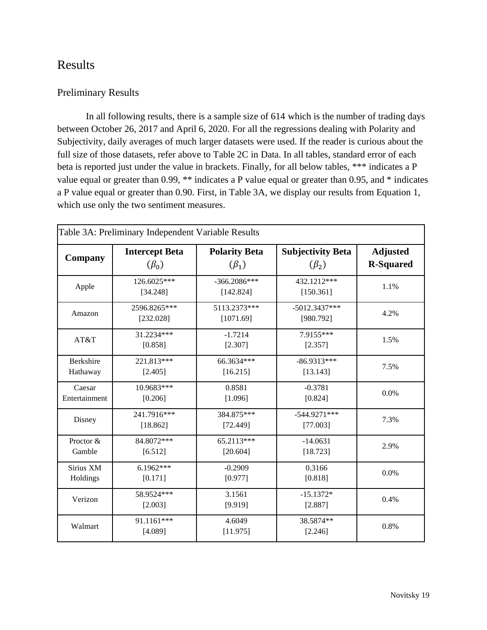## <span id="page-19-0"></span>Results

#### <span id="page-19-1"></span>Preliminary Results

In all following results, there is a sample size of 614 which is the number of trading days between October 26, 2017 and April 6, 2020. For all the regressions dealing with Polarity and Subjectivity, daily averages of much larger datasets were used. If the reader is curious about the full size of those datasets, refer above to Table 2C in Data. In all tables, standard error of each beta is reported just under the value in brackets. Finally, for all below tables, \*\*\* indicates a P value equal or greater than 0.99, \*\* indicates a P value equal or greater than 0.95, and \* indicates a P value equal or greater than 0.90. First, in Table 3A, we display our results from Equation 1, which use only the two sentiment measures.

| Table 3A: Preliminary Independent Variable Results |                                      |                                     |                                         |                                     |  |  |  |
|----------------------------------------------------|--------------------------------------|-------------------------------------|-----------------------------------------|-------------------------------------|--|--|--|
| Company                                            | <b>Intercept Beta</b><br>$(\beta_0)$ | <b>Polarity Beta</b><br>$(\beta_1)$ | <b>Subjectivity Beta</b><br>$(\beta_2)$ | <b>Adjusted</b><br><b>R-Squared</b> |  |  |  |
| Apple                                              | 126.6025***<br>[34.248]              | $-366.2086***$<br>[142.824]         | 432.1212***<br>[150.361]                | 1.1%                                |  |  |  |
| Amazon                                             | 2596.8265***<br>[232.028]            | 5113.2373***<br>[1071.69]           | $-5012.3437***$<br>[980.792]            | 4.2%                                |  |  |  |
| AT&T                                               | 31.2234***<br>[0.858]                | $-1.7214$<br>[2.307]                | 7.9155***<br>[2.357]                    | 1.5%                                |  |  |  |
| <b>Berkshire</b><br>Hathaway                       | 221.813***<br>[2.405]                | 66.3634***<br>[16.215]              | $-86.9313***$<br>[13.143]               | 7.5%                                |  |  |  |
| Caesar<br>Entertainment                            | 10.9683***<br>[0.206]                | 0.8581<br>[1.096]                   | $-0.3781$<br>[0.824]                    | 0.0%                                |  |  |  |
| Disney                                             | 241.7916***<br>[18.862]              | 384.875***<br>[72.449]              | $-544.9271***$<br>[77.003]              | 7.3%                                |  |  |  |
| Proctor &<br>Gamble                                | 84.8072***<br>[6.512]                | 65.2113***<br>[20.604]              | $-14.0631$<br>[18.723]                  | 2.9%                                |  |  |  |
| Sirius XM<br>Holdings                              | $6.1962***$<br>[0.171]               | $-0.2909$<br>[0.977]                | 0.3166<br>[0.818]                       | 0.0%                                |  |  |  |
| Verizon                                            | 58.9524***<br>[2.003]                | 3.1561<br>[9.919]                   | $-15.1372*$<br>[2.887]                  | 0.4%                                |  |  |  |
| Walmart                                            | 91.1161***<br>[4.089]                | 4.6049<br>[11.975]                  | 38.5874**<br>[2.246]                    | 0.8%                                |  |  |  |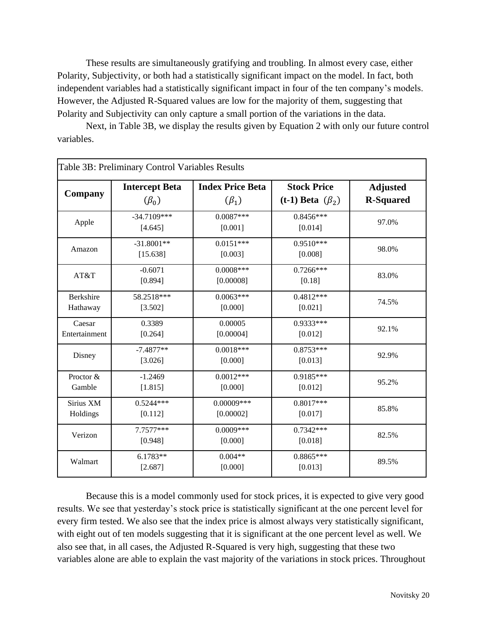These results are simultaneously gratifying and troubling. In almost every case, either Polarity, Subjectivity, or both had a statistically significant impact on the model. In fact, both independent variables had a statistically significant impact in four of the ten company's models. However, the Adjusted R-Squared values are low for the majority of them, suggesting that Polarity and Subjectivity can only capture a small portion of the variations in the data.

Next, in Table 3B, we display the results given by Equation 2 with only our future control variables.

| Table 3B: Preliminary Control Variables Results |                                      |                                        |                                              |                                     |  |  |  |
|-------------------------------------------------|--------------------------------------|----------------------------------------|----------------------------------------------|-------------------------------------|--|--|--|
| Company                                         | <b>Intercept Beta</b><br>$(\beta_0)$ | <b>Index Price Beta</b><br>$(\beta_1)$ | <b>Stock Price</b><br>(t-1) Beta $(\beta_2)$ | <b>Adjusted</b><br><b>R-Squared</b> |  |  |  |
| Apple                                           | $-34.7109***$<br>[4.645]             | $0.0087***$<br>[0.001]                 | $0.8456***$<br>[0.014]                       | 97.0%                               |  |  |  |
| Amazon                                          | $-31.8001**$<br>[15.638]             | $0.0151***$<br>[0.003]                 | $0.9510***$<br>[0.008]                       | 98.0%                               |  |  |  |
| AT&T                                            | $-0.6071$<br>[0.894]                 | $0.0008***$<br>[0.00008]               | $0.7266***$<br>[0.18]                        | 83.0%                               |  |  |  |
| Berkshire<br>Hathaway                           | 58.2518***<br>[3.502]                | $0.0063***$<br>[0.000]                 | $0.4812***$<br>[0.021]                       | 74.5%                               |  |  |  |
| Caesar<br>Entertainment                         | 0.3389<br>[0.264]                    | 0.00005<br>[0.00004]                   | $0.9333***$<br>[0.012]                       | 92.1%                               |  |  |  |
| Disney                                          | $-7.4877**$<br>[3.026]               | $0.0018***$<br>[0.000]                 | $0.8753***$<br>[0.013]                       | 92.9%                               |  |  |  |
| Proctor &<br>Gamble                             | $-1.2469$<br>[1.815]                 | $0.0012***$<br>[0.000]                 | 0.9185***<br>[0.012]                         | 95.2%                               |  |  |  |
| Sirius XM<br>Holdings                           | $0.5244***$<br>[0.112]               | $0.00009***$<br>[0.00002]              | $0.8017***$<br>[0.017]                       | 85.8%                               |  |  |  |
| Verizon                                         | 7.7577***<br>[0.948]                 | $0.0009***$<br>[0.000]                 | $0.7342***$<br>[0.018]                       | 82.5%                               |  |  |  |
| Walmart                                         | $6.1783**$<br>[2.687]                | $0.004**$<br>[0.000]                   | $0.8865***$<br>[0.013]                       | 89.5%                               |  |  |  |

Because this is a model commonly used for stock prices, it is expected to give very good results. We see that yesterday's stock price is statistically significant at the one percent level for every firm tested. We also see that the index price is almost always very statistically significant, with eight out of ten models suggesting that it is significant at the one percent level as well. We also see that, in all cases, the Adjusted R-Squared is very high, suggesting that these two variables alone are able to explain the vast majority of the variations in stock prices. Throughout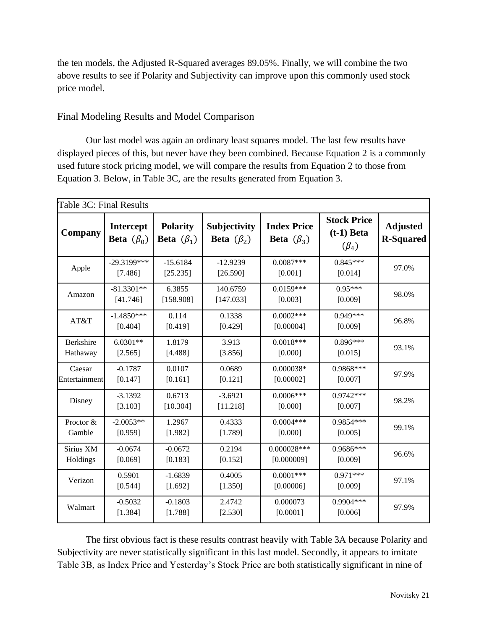the ten models, the Adjusted R-Squared averages 89.05%. Finally, we will combine the two above results to see if Polarity and Subjectivity can improve upon this commonly used stock price model.

#### <span id="page-21-0"></span>Final Modeling Results and Model Comparison

Our last model was again an ordinary least squares model. The last few results have displayed pieces of this, but never have they been combined. Because Equation 2 is a commonly used future stock pricing model, we will compare the results from Equation 2 to those from Equation 3. Below, in Table 3C, are the results generated from Equation 3.

| Table 3C: Final Results |                                      |                                     |                                  |                                               |                                                   |                                     |
|-------------------------|--------------------------------------|-------------------------------------|----------------------------------|-----------------------------------------------|---------------------------------------------------|-------------------------------------|
| Company                 | <b>Intercept</b><br>Beta $(\beta_0)$ | <b>Polarity</b><br>Beta $(\beta_1)$ | Subjectivity<br>Beta $(\beta_2)$ | <b>Index Price</b><br><b>Beta</b> $(\beta_3)$ | <b>Stock Price</b><br>$(t-1)$ Beta<br>$(\beta_4)$ | <b>Adjusted</b><br><b>R-Squared</b> |
| Apple                   | $-29.3199***$<br>[7.486]             | $-15.6184$<br>[25.235]              | $-12.9239$<br>[26.590]           | $0.0087***$<br>[0.001]                        | $0.845***$<br>[0.014]                             | 97.0%                               |
| Amazon                  | $-81.3301**$<br>[41.746]             | 6.3855<br>[158.908]                 | 140.6759<br>[147.033]            | $0.0159***$<br>[0.003]                        | $0.95***$<br>[0.009]                              | 98.0%                               |
| AT&T                    | $-1.4850***$<br>[0.404]              | 0.114<br>[0.419]                    | 0.1338<br>[0.429]                | $0.0002***$<br>[0.00004]                      | $0.949***$<br>[0.009]                             | 96.8%                               |
| Berkshire<br>Hathaway   | $6.0301**$<br>[2.565]                | 1.8179<br>[4.488]                   | 3.913<br>[3.856]                 | $0.0018***$<br>[0.000]                        | $0.896***$<br>[0.015]                             | 93.1%                               |
| Caesar<br>Entertainment | $-0.1787$<br>[0.147]                 | 0.0107<br>[0.161]                   | 0.0689<br>[0.121]                | $0.000038*$<br>[0.00002]                      | 0.9868***<br>[0.007]                              | 97.9%                               |
| Disney                  | $-3.1392$<br>[3.103]                 | 0.6713<br>[10.304]                  | $-3.6921$<br>[11.218]            | $0.0006***$<br>[0.000]                        | $0.9742***$<br>[0.007]                            | 98.2%                               |
| Proctor &<br>Gamble     | $-2.0053**$<br>[0.959]               | 1.2967<br>[1.982]                   | 0.4333<br>[1.789]                | $0.0004***$<br>[0.000]                        | 0.9854 ***<br>[0.005]                             | 99.1%                               |
| Sirius XM<br>Holdings   | $-0.0674$<br>[0.069]                 | $-0.0672$<br>[0.183]                | 0.2194<br>[0.152]                | $0.000028***$<br>[0.000009]                   | 0.9686***<br>[0.009]                              | 96.6%                               |
| Verizon                 | 0.5901<br>[0.544]                    | $-1.6839$<br>[1.692]                | 0.4005<br>[1.350]                | $0.0001***$<br>[0.00006]                      | $0.971***$<br>[0.009]                             | 97.1%                               |
| Walmart                 | $-0.5032$<br>[1.384]                 | $-0.1803$<br>[1.788]                | 2.4742<br>[2.530]                | 0.000073<br>[0.0001]                          | $0.9904***$<br>[0.006]                            | 97.9%                               |

The first obvious fact is these results contrast heavily with Table 3A because Polarity and Subjectivity are never statistically significant in this last model. Secondly, it appears to imitate Table 3B, as Index Price and Yesterday's Stock Price are both statistically significant in nine of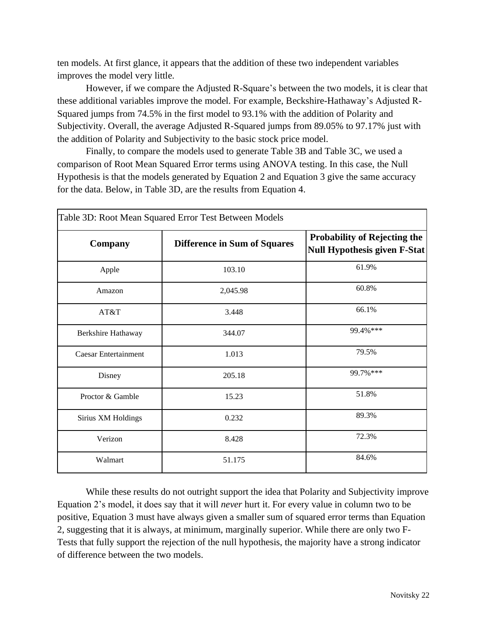ten models. At first glance, it appears that the addition of these two independent variables improves the model very little.

However, if we compare the Adjusted R-Square's between the two models, it is clear that these additional variables improve the model. For example, Beckshire-Hathaway's Adjusted R-Squared jumps from 74.5% in the first model to 93.1% with the addition of Polarity and Subjectivity. Overall, the average Adjusted R-Squared jumps from 89.05% to 97.17% just with the addition of Polarity and Subjectivity to the basic stock price model.

Finally, to compare the models used to generate Table 3B and Table 3C, we used a comparison of Root Mean Squared Error terms using ANOVA testing. In this case, the Null Hypothesis is that the models generated by Equation 2 and Equation 3 give the same accuracy for the data. Below, in Table 3D, are the results from Equation 4.

| Table 3D: Root Mean Squared Error Test Between Models |                                     |                                                                            |  |  |  |
|-------------------------------------------------------|-------------------------------------|----------------------------------------------------------------------------|--|--|--|
| Company                                               | <b>Difference in Sum of Squares</b> | <b>Probability of Rejecting the</b><br><b>Null Hypothesis given F-Stat</b> |  |  |  |
| Apple                                                 | 103.10                              | 61.9%                                                                      |  |  |  |
| Amazon                                                | 2,045.98                            | 60.8%                                                                      |  |  |  |
| AT&T                                                  | 3.448                               | 66.1%                                                                      |  |  |  |
| Berkshire Hathaway                                    | 344.07                              | 99.4%***                                                                   |  |  |  |
| <b>Caesar Entertainment</b>                           | 1.013                               | 79.5%                                                                      |  |  |  |
| Disney                                                | 205.18                              | 99.7%***                                                                   |  |  |  |
| Proctor & Gamble                                      | 15.23                               | 51.8%                                                                      |  |  |  |
| Sirius XM Holdings                                    | 0.232                               | 89.3%                                                                      |  |  |  |
| Verizon                                               | 8.428                               | 72.3%                                                                      |  |  |  |
| Walmart                                               | 51.175                              | 84.6%                                                                      |  |  |  |

While these results do not outright support the idea that Polarity and Subjectivity improve Equation 2's model, it does say that it will *never* hurt it. For every value in column two to be positive, Equation 3 must have always given a smaller sum of squared error terms than Equation 2, suggesting that it is always, at minimum, marginally superior. While there are only two F-Tests that fully support the rejection of the null hypothesis, the majority have a strong indicator of difference between the two models.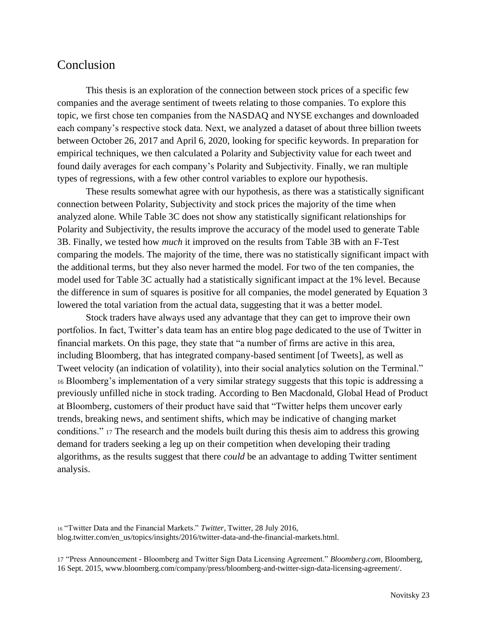## <span id="page-23-0"></span>Conclusion

This thesis is an exploration of the connection between stock prices of a specific few companies and the average sentiment of tweets relating to those companies. To explore this topic, we first chose ten companies from the NASDAQ and NYSE exchanges and downloaded each company's respective stock data. Next, we analyzed a dataset of about three billion tweets between October 26, 2017 and April 6, 2020, looking for specific keywords. In preparation for empirical techniques, we then calculated a Polarity and Subjectivity value for each tweet and found daily averages for each company's Polarity and Subjectivity. Finally, we ran multiple types of regressions, with a few other control variables to explore our hypothesis.

These results somewhat agree with our hypothesis, as there was a statistically significant connection between Polarity, Subjectivity and stock prices the majority of the time when analyzed alone. While Table 3C does not show any statistically significant relationships for Polarity and Subjectivity, the results improve the accuracy of the model used to generate Table 3B. Finally, we tested how *much* it improved on the results from Table 3B with an F-Test comparing the models. The majority of the time, there was no statistically significant impact with the additional terms, but they also never harmed the model. For two of the ten companies, the model used for Table 3C actually had a statistically significant impact at the 1% level. Because the difference in sum of squares is positive for all companies, the model generated by Equation 3 lowered the total variation from the actual data, suggesting that it was a better model.

Stock traders have always used any advantage that they can get to improve their own portfolios. In fact, Twitter's data team has an entire blog page dedicated to the use of Twitter in financial markets. On this page, they state that "a number of firms are active in this area, including Bloomberg, that has integrated company-based sentiment [of Tweets], as well as Tweet velocity (an indication of volatility), into their social analytics solution on the Terminal." <sup>16</sup> Bloomberg's implementation of a very similar strategy suggests that this topic is addressing a previously unfilled niche in stock trading. According to Ben Macdonald, Global Head of Product at Bloomberg, customers of their product have said that "Twitter helps them uncover early trends, breaking news, and sentiment shifts, which may be indicative of changing market conditions." <sup>17</sup> The research and the models built during this thesis aim to address this growing demand for traders seeking a leg up on their competition when developing their trading algorithms, as the results suggest that there *could* be an advantage to adding Twitter sentiment analysis.

<sup>16</sup> "Twitter Data and the Financial Markets." *Twitter*, Twitter, 28 July 2016, blog.twitter.com/en\_us/topics/insights/2016/twitter-data-and-the-financial-markets.html.

<sup>17</sup> "Press Announcement - Bloomberg and Twitter Sign Data Licensing Agreement." *Bloomberg.com*, Bloomberg, 16 Sept. 2015, www.bloomberg.com/company/press/bloomberg-and-twitter-sign-data-licensing-agreement/.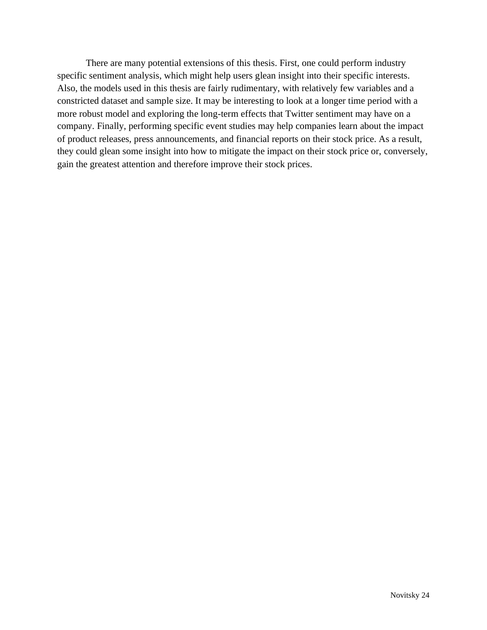There are many potential extensions of this thesis. First, one could perform industry specific sentiment analysis, which might help users glean insight into their specific interests. Also, the models used in this thesis are fairly rudimentary, with relatively few variables and a constricted dataset and sample size. It may be interesting to look at a longer time period with a more robust model and exploring the long-term effects that Twitter sentiment may have on a company. Finally, performing specific event studies may help companies learn about the impact of product releases, press announcements, and financial reports on their stock price. As a result, they could glean some insight into how to mitigate the impact on their stock price or, conversely, gain the greatest attention and therefore improve their stock prices.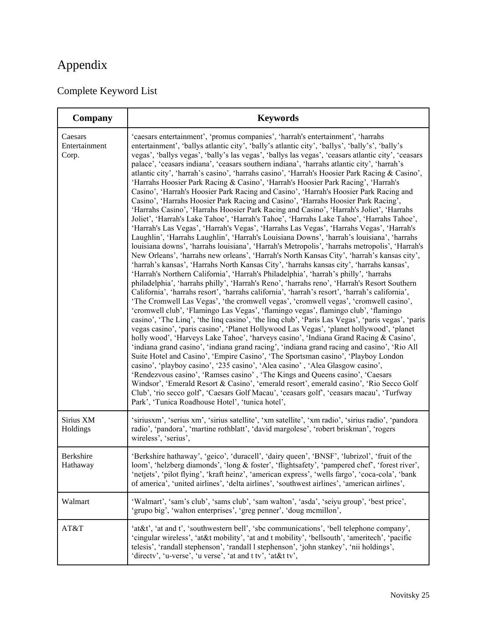# <span id="page-25-0"></span>Appendix

## <span id="page-25-1"></span>Complete Keyword List

| Company                           | <b>Keywords</b>                                                                                                                                                                                                                                                                                                                                                                                                                                                                                                                                                                                                                                                                                                                                                                                                                                                                                                                                                                                                                                                                                                                                                                                                                                                                                                                                                                                                                                                                                                                                                                                                                                                                                                                                                                                                                                                                                                                                                                                                                                                                                                                                                                                                                                                                                                                                                                                                                                                                                                                                                                                                                                                                                                                                                                                        |
|-----------------------------------|--------------------------------------------------------------------------------------------------------------------------------------------------------------------------------------------------------------------------------------------------------------------------------------------------------------------------------------------------------------------------------------------------------------------------------------------------------------------------------------------------------------------------------------------------------------------------------------------------------------------------------------------------------------------------------------------------------------------------------------------------------------------------------------------------------------------------------------------------------------------------------------------------------------------------------------------------------------------------------------------------------------------------------------------------------------------------------------------------------------------------------------------------------------------------------------------------------------------------------------------------------------------------------------------------------------------------------------------------------------------------------------------------------------------------------------------------------------------------------------------------------------------------------------------------------------------------------------------------------------------------------------------------------------------------------------------------------------------------------------------------------------------------------------------------------------------------------------------------------------------------------------------------------------------------------------------------------------------------------------------------------------------------------------------------------------------------------------------------------------------------------------------------------------------------------------------------------------------------------------------------------------------------------------------------------------------------------------------------------------------------------------------------------------------------------------------------------------------------------------------------------------------------------------------------------------------------------------------------------------------------------------------------------------------------------------------------------------------------------------------------------------------------------------------------------|
| Caesars<br>Entertainment<br>Corp. | 'caesars entertainment', 'promus companies', 'harrah's entertainment', 'harrahs<br>entertainment', 'ballys atlantic city', 'bally's atlantic city', 'ballys', 'bally's', 'bally's<br>vegas', 'ballys vegas', 'bally's las vegas', 'ballys las vegas', 'ceasars atlantic city', 'ceasars<br>palace', 'ceasars indiana', 'ceasars southern indiana', 'harrahs atlantic city', 'harrah's<br>atlantic city', 'harrah's casino', 'harrahs casino', 'Harrah's Hoosier Park Racing & Casino',<br>'Harrahs Hoosier Park Racing & Casino', 'Harrah's Hoosier Park Racing', 'Harrah's<br>Casino', 'Harrah's Hoosier Park Racing and Casino', 'Harrah's Hoosier Park Racing and<br>Casino', 'Harrahs Hoosier Park Racing and Casino', 'Harrahs Hoosier Park Racing',<br>'Harrahs Casino', 'Harrahs Hoosier Park Racing and Casino', 'Harrah's Joliet', 'Harrahs<br>Joliet', 'Harrah's Lake Tahoe', 'Harrah's Tahoe', 'Harrahs Lake Tahoe', 'Harrahs Tahoe',<br>'Harrah's Las Vegas', 'Harrah's Vegas', 'Harrahs Las Vegas', 'Harrahs Vegas', 'Harrah's<br>Laughlin', 'Harrahs Laughlin', 'Harrah's Louisiana Downs', 'harrah's louisiana', 'harrahs<br>louisiana downs', 'harrahs louisiana', 'Harrah's Metropolis', 'harrahs metropolis', 'Harrah's<br>New Orleans', 'harrahs new orleans', 'Harrah's North Kansas City', 'harrah's kansas city',<br>'harrah's kansas', 'Harrahs North Kansas City', 'harrahs kansas city', 'harrahs kansas',<br>'Harrah's Northern California', 'Harrah's Philadelphia', 'harrah's philly', 'harrahs<br>philadelphia', 'harrahs philly', 'Harrah's Reno', 'harrahs reno', 'Harrah's Resort Southern<br>California', 'harrahs resort', 'harrahs california', 'harrah's resort', 'harrah's california',<br>'The Cromwell Las Vegas', 'the cromwell vegas', 'cromwell vegas', 'cromwell casino',<br>'cromwell club', 'Flamingo Las Vegas', 'flamingo vegas', flamingo club', 'flamingo<br>casino', 'The Linq', 'the linq casino', 'the linq club', 'Paris Las Vegas', 'paris vegas', 'paris<br>vegas casino', 'paris casino', 'Planet Hollywood Las Vegas', 'planet hollywood', 'planet<br>holly wood', 'Harveys Lake Tahoe', 'harveys casino', 'Indiana Grand Racing & Casino',<br>'indiana grand casino', 'indiana grand racing', 'indiana grand racing and casino', 'Rio All<br>Suite Hotel and Casino', 'Empire Casino', 'The Sportsman casino', 'Playboy London<br>casino', 'playboy casino', '235 casino', 'Alea casino', 'Alea Glasgow casino',<br>'Rendezvous casino', 'Ramses casino', 'The Kings and Queens casino', 'Caesars<br>Windsor', 'Emerald Resort & Casino', 'emerald resort', emerald casino', 'Rio Secco Golf<br>Club', 'rio secco golf', 'Caesars Golf Macau', 'ceasars golf', 'ceasars macau', 'Turfway<br>Park', 'Tunica Roadhouse Hotel', 'tunica hotel', |
| Sirius XM<br>Holdings             | 'siriusxm', 'serius xm', 'sirius satellite', 'xm satellite', 'xm radio', 'sirius radio', 'pandora<br>radio', 'pandora', 'martine rothblatt', 'david margolese', 'robert briskman', 'rogers<br>wireless', 'serius',                                                                                                                                                                                                                                                                                                                                                                                                                                                                                                                                                                                                                                                                                                                                                                                                                                                                                                                                                                                                                                                                                                                                                                                                                                                                                                                                                                                                                                                                                                                                                                                                                                                                                                                                                                                                                                                                                                                                                                                                                                                                                                                                                                                                                                                                                                                                                                                                                                                                                                                                                                                     |
| Berkshire<br>Hathaway             | 'Berkshire hathaway', 'geico', 'duracell', 'dairy queen', 'BNSF', 'lubrizol', 'fruit of the<br>loom', 'helzberg diamonds', 'long & foster', 'flightsafety', 'pampered chef', 'forest river',<br>'netjets', 'pilot flying', 'kraft heinz', 'american express', 'wells fargo', 'coca-cola', 'bank<br>of america', 'united airlines', 'delta airlines', 'southwest airlines', 'american airlines',                                                                                                                                                                                                                                                                                                                                                                                                                                                                                                                                                                                                                                                                                                                                                                                                                                                                                                                                                                                                                                                                                                                                                                                                                                                                                                                                                                                                                                                                                                                                                                                                                                                                                                                                                                                                                                                                                                                                                                                                                                                                                                                                                                                                                                                                                                                                                                                                        |
| Walmart                           | 'Walmart', 'sam's club', 'sams club', 'sam walton', 'asda', 'seiyu group', 'best price',<br>'grupo big', 'walton enterprises', 'greg penner', 'doug mcmillon',                                                                                                                                                                                                                                                                                                                                                                                                                                                                                                                                                                                                                                                                                                                                                                                                                                                                                                                                                                                                                                                                                                                                                                                                                                                                                                                                                                                                                                                                                                                                                                                                                                                                                                                                                                                                                                                                                                                                                                                                                                                                                                                                                                                                                                                                                                                                                                                                                                                                                                                                                                                                                                         |
| AT&T                              | 'at&t', 'at and t', 'southwestern bell', 'sbc communications', 'bell telephone company',<br>'cingular wireless', 'at&t mobility', 'at and t mobility', 'bellsouth', 'ameritech', 'pacific<br>telesis', 'randall stephenson', 'randall l stephenson', 'john stankey', 'nii holdings',<br>'directv', 'u-verse', 'u verse', 'at and t tv', 'at&t tv',                                                                                                                                                                                                                                                                                                                                                                                                                                                                                                                                                                                                                                                                                                                                                                                                                                                                                                                                                                                                                                                                                                                                                                                                                                                                                                                                                                                                                                                                                                                                                                                                                                                                                                                                                                                                                                                                                                                                                                                                                                                                                                                                                                                                                                                                                                                                                                                                                                                     |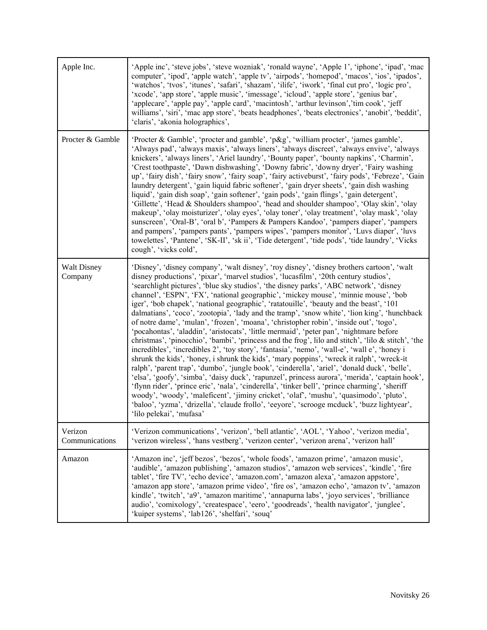| Apple Inc.                    | 'Apple inc', 'steve jobs', 'steve wozniak', 'ronald wayne', 'Apple 1', 'iphone', 'ipad', 'mac<br>computer', 'ipod', 'apple watch', 'apple tv', 'airpods', 'homepod', 'macos', 'ios', 'ipados',<br>'watchos', 'tvos', 'itunes', 'safari', 'shazam', 'ilife', 'iwork', 'final cut pro', 'logic pro',<br>'xcode', 'app store', 'apple music', 'imessage', 'icloud', 'apple store', 'genius bar',<br>'applecare', 'apple pay', 'apple card', 'macintosh', 'arthur levinson','tim cook', 'jeff<br>williams', 'siri', 'mac app store', 'beats headphones', 'beats electronics', 'anobit', 'beddit',<br>'claris', 'akonia holographics',                                                                                                                                                                                                                                                                                                                                                                                                                                                                                                                                                                                                                                                                                                                                                                                                                                                                                                                                                 |
|-------------------------------|-----------------------------------------------------------------------------------------------------------------------------------------------------------------------------------------------------------------------------------------------------------------------------------------------------------------------------------------------------------------------------------------------------------------------------------------------------------------------------------------------------------------------------------------------------------------------------------------------------------------------------------------------------------------------------------------------------------------------------------------------------------------------------------------------------------------------------------------------------------------------------------------------------------------------------------------------------------------------------------------------------------------------------------------------------------------------------------------------------------------------------------------------------------------------------------------------------------------------------------------------------------------------------------------------------------------------------------------------------------------------------------------------------------------------------------------------------------------------------------------------------------------------------------------------------------------------------------|
| Procter & Gamble              | 'Procter & Gamble', 'procter and gamble', 'p&g', 'william procter', 'james gamble',<br>'Always pad', 'always maxis', 'always liners', 'always discreet', 'always envive', 'always<br>knickers', 'always liners', 'Ariel laundry', 'Bounty paper', 'bounty napkins', 'Charmin',<br>'Crest toothpaste', 'Dawn dishwashing', 'Downy fabric', 'downy dryer', 'Fairy washing<br>up', 'fairy dish', 'fairy snow', 'fairy soap', 'fairy activeburst', 'fairy pods', 'Febreze', 'Gain<br>laundry detergent', 'gain liquid fabric softener', 'gain dryer sheets', 'gain dish washing<br>liquid', 'gain dish soap', 'gain softener', 'gain pods', 'gain flings', 'gain detergent',<br>'Gillette', 'Head & Shoulders shampoo', 'head and shoulder shampoo', 'Olay skin', 'olay<br>makeup', 'olay moisturizer', 'olay eyes', 'olay toner', 'olay treatment', 'olay mask', 'olay<br>sunscreen', 'Oral-B', 'oral b', 'Pampers & Pampers Kandoo', 'pampers diaper', 'pampers<br>and pampers', 'pampers pants', 'pampers wipes', 'pampers monitor', 'Luvs diaper', 'luvs<br>towelettes', 'Pantene', 'SK-II', 'sk ii', 'Tide detergent', 'tide pods', 'tide laundry', 'Vicks<br>cough', 'vicks cold',                                                                                                                                                                                                                                                                                                                                                                                              |
| <b>Walt Disney</b><br>Company | 'Disney', 'disney company', 'walt disney', 'roy disney', 'disney brothers cartoon', 'walt<br>disney productions', 'pixar', 'marvel studios', 'lucasfilm', '20th century studios',<br>'searchlight pictures', 'blue sky studios', 'the disney parks', 'ABC network', 'disney<br>channel', 'ESPN', 'FX', 'national geographic', 'mickey mouse', 'minnie mouse', 'bob<br>iger', 'bob chapek', 'national geographic', 'ratatouille', 'beauty and the beast', '101<br>dalmatians', 'coco', 'zootopia', 'lady and the tramp', 'snow white', 'lion king', 'hunchback<br>of notre dame', 'mulan', 'frozen', 'moana', 'christopher robin', 'inside out', 'togo',<br>'pocahontas', 'aladdin', 'aristocats', 'little mermaid', 'peter pan', 'nightmare before<br>christmas', 'pinocchio', 'bambi', 'princess and the frog', lilo and stitch', 'lilo & stitch', 'the<br>incredibles', 'incredibles 2', 'toy story', 'fantasia', 'nemo', 'wall-e', 'wall e', 'honey i<br>shrunk the kids', 'honey, i shrunk the kids', 'mary poppins', 'wreck it ralph', 'wreck-it<br>ralph', 'parent trap', 'dumbo', 'jungle book', 'cinderella', 'ariel', 'donald duck', 'belle',<br>'elsa', 'goofy', 'simba', 'daisy duck', 'rapunzel', princess aurora', 'merida', 'captain hook',<br>'flynn rider', 'prince eric', 'nala', 'cinderella', 'tinker bell', 'prince charming', 'sheriff<br>woody', 'woody', 'maleficent', 'jiminy cricket', 'olaf', 'mushu', 'quasimodo', 'pluto',<br>'baloo', 'yzma', 'drizella', 'claude frollo', 'eeyore', 'scrooge mcduck', 'buzz lightyear',<br>'lilo pelekai', 'mufasa' |
| Verizon<br>Communications     | 'Verizon communications', 'verizon', 'bell atlantic', 'AOL', 'Yahoo', 'verizon media',<br>'verizon wireless', 'hans vestberg', 'verizon center', 'verizon arena', 'verizon hall'                                                                                                                                                                                                                                                                                                                                                                                                                                                                                                                                                                                                                                                                                                                                                                                                                                                                                                                                                                                                                                                                                                                                                                                                                                                                                                                                                                                                  |
| Amazon                        | 'Amazon inc', 'jeff bezos', 'bezos', 'whole foods', 'amazon prime', 'amazon music',<br>'audible', 'amazon publishing', 'amazon studios', 'amazon web services', 'kindle', 'fire<br>tablet', 'fire TV', 'echo device', 'amazon.com', 'amazon alexa', 'amazon appstore',<br>'amazon app store', 'amazon prime video', 'fire os', 'amazon echo', 'amazon tv', 'amazon<br>kindle', 'twitch', 'a9', 'amazon maritime', 'annapurna labs', 'joyo services', 'brilliance<br>audio', 'comixology', 'createspace', 'eero', 'goodreads', 'health navigator', 'junglee',<br>'kuiper systems', 'lab126', 'shelfari', 'souq'                                                                                                                                                                                                                                                                                                                                                                                                                                                                                                                                                                                                                                                                                                                                                                                                                                                                                                                                                                    |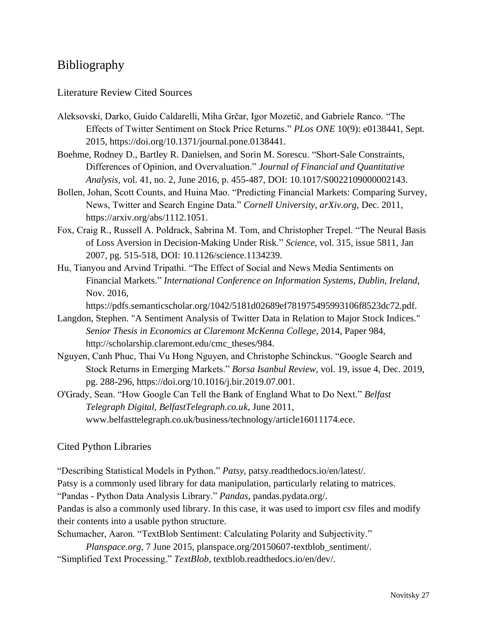## <span id="page-27-0"></span>Bibliography

#### <span id="page-27-1"></span>Literature Review Cited Sources

- Aleksovski, Darko, Guido Caldarelli, Miha Grčar, Igor Mozetič, and Gabriele Ranco. "The Effects of Twitter Sentiment on Stock Price Returns." *PLos ONE* 10(9): e0138441, Sept. 2015, https://doi.org/10.1371/journal.pone.0138441.
- Boehme, Rodney D., Bartley R. Danielsen, and Sorin M. Sorescu. "Short-Sale Constraints, Differences of Opinion, and Overvaluation." *Journal of Financial and Quantitative Analysis,* vol. 41, no. 2, June 2016, p. 455-487, DOI: 10.1017/S0022109000002143.
- Bollen, Johan, Scott Counts, and Huina Mao. "Predicting Financial Markets: Comparing Survey, News, Twitter and Search Engine Data." *Cornell University, arXiv.org,* Dec. 2011, https://arxiv.org/abs/1112.1051.
- Fox, Craig R., Russell A. Poldrack, Sabrina M. Tom, and Christopher Trepel. "The Neural Basis of Loss Aversion in Decision-Making Under Risk." *Science,* vol. 315, issue 5811, Jan 2007, pg. 515-518, DOI: 10.1126/science.1134239.
- Hu, Tianyou and Arvind Tripathi. "The Effect of Social and News Media Sentiments on Financial Markets." *International Conference on Information Systems, Dublin, Ireland,*  Nov. 2016,

https://pdfs.semanticscholar.org/1042/5181d02689ef781975495993106f8523dc72.pdf.

- Langdon, Stephen. "A Sentiment Analysis of Twitter Data in Relation to Major Stock Indices." *Senior Thesis in Economics at Claremont McKenna College,* 2014, Paper 984, http://scholarship.claremont.edu/cmc\_theses/984.
- Nguyen, Canh Phuc, Thai Vu Hong Nguyen, and Christophe Schinckus. "Google Search and Stock Returns in Emerging Markets." *Borsa Isanbul Review,* vol. 19, issue 4, Dec. 2019, pg. 288-296, https://doi.org/10.1016/j.bir.2019.07.001.
- O'Grady, Sean. "How Google Can Tell the Bank of England What to Do Next." *Belfast Telegraph Digital*, *BelfastTelegraph.co.uk*, June 2011, www.belfasttelegraph.co.uk/business/technology/article16011174.ece.

#### <span id="page-27-2"></span>Cited Python Libraries

"Describing Statistical Models in Python." *Patsy*, patsy.readthedocs.io/en/latest/. Patsy is a commonly used library for data manipulation, particularly relating to matrices.

"Pandas - Python Data Analysis Library." *Pandas*, pandas.pydata.org/.

Pandas is also a commonly used library. In this case, it was used to import csv files and modify their contents into a usable python structure.

Schumacher, Aaron. "TextBlob Sentiment: Calculating Polarity and Subjectivity."

*Planspace.org*, 7 June 2015, planspace.org/20150607-textblob\_sentiment/. "Simplified Text Processing." *TextBlob*, textblob.readthedocs.io/en/dev/.